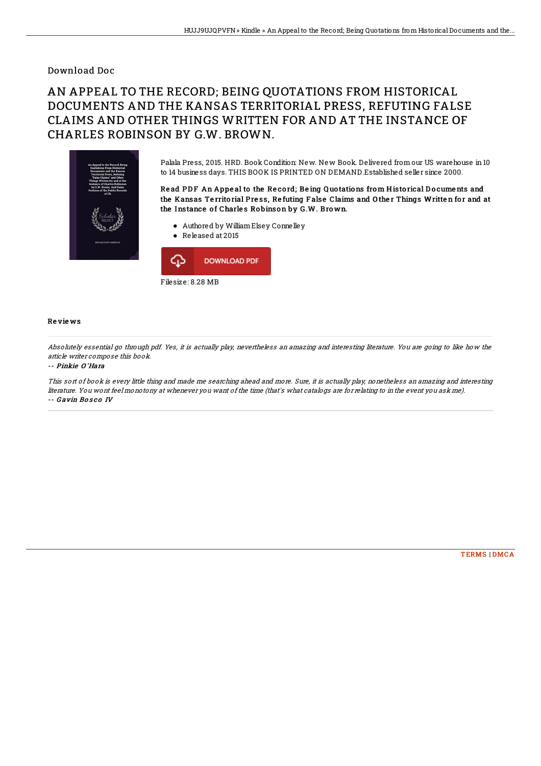### Download Doc

# AN APPEAL TO THE RECORD; BEING QUOTATIONS FROM HISTORICAL DOCUMENTS AND THE KANSAS TERRITORIAL PRESS, REFUTING FALSE CLAIMS AND OTHER THINGS WRITTEN FOR AND AT THE INSTANCE OF CHARLES ROBINSON BY G.W. BROWN.



Palala Press, 2015. HRD. Book Condition: New. New Book. Delivered from our US warehouse in 10 to 14 business days. THIS BOOK IS PRINTED ON DEMAND.Established seller since 2000.

Read PDF An Appeal to the Record; Being Quotations from Historical Documents and the Kansas Territorial Press, Refuting False Claims and Other Things Written for and at the Instance of Charles Robinson by G.W. Brown.

- Authored by WilliamElsey Connelley
- Released at 2015



#### Re vie ws

Absolutely essential go through pdf. Yes, it is actually play, nevertheless an amazing and interesting literature. You are going to like how the article writer compose this book.

#### -- Pinkie O 'Hara

This sort of book is every little thing and made me searching ahead and more. Sure, it is actually play, nonetheless an amazing and interesting literature. You wont feel monotony at whenever you want of the time (that's what catalogs are for relating to in the event you ask me). -- Gavin Bosco IV